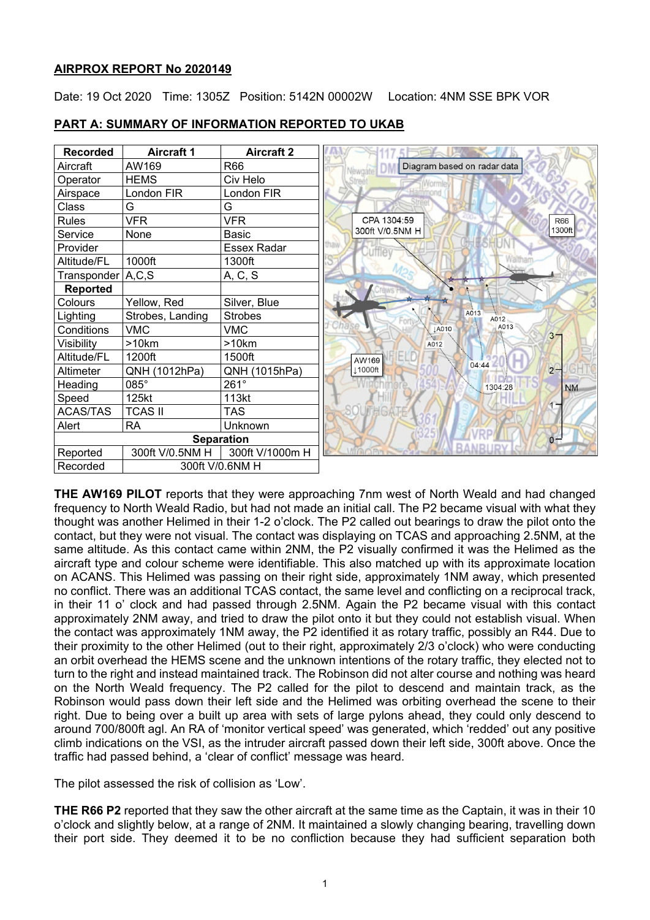### **AIRPROX REPORT No 2020149**

Date: 19 Oct 2020 Time: 1305Z Position: 5142N 00002W Location: 4NM SSE BPK VOR

| <b>Recorded</b>   | <b>Aircraft 1</b> | <b>Aircraft 2</b> |                                        |  |  |  |
|-------------------|-------------------|-------------------|----------------------------------------|--|--|--|
| Aircraft          | AW169             | R66               | Diagram based on radar data            |  |  |  |
| Operator          | <b>HEMS</b>       | Civ Helo          |                                        |  |  |  |
| Airspace          | London FIR        | London FIR        |                                        |  |  |  |
| Class             | G                 | G                 |                                        |  |  |  |
| <b>Rules</b>      | <b>VFR</b>        | <b>VFR</b>        | CPA 1304:59<br><b>R66</b>              |  |  |  |
| Service           | None              | <b>Basic</b>      | 1300ft<br>300ft V/0.5NM H              |  |  |  |
| Provider          |                   | Essex Radar       |                                        |  |  |  |
| Altitude/FL       | 1000ft            | 1300ft            |                                        |  |  |  |
| Transponder A,C,S |                   | A, C, S           | त ।                                    |  |  |  |
| <b>Reported</b>   |                   |                   |                                        |  |  |  |
| Colours           | Yellow, Red       | Silver, Blue      |                                        |  |  |  |
| Lighting          | Strobes, Landing  | <b>Strobes</b>    | A013<br>A012                           |  |  |  |
| Conditions        | <b>VMC</b>        | <b>VMC</b>        | A013<br><b>LA010</b><br>3 <sup>2</sup> |  |  |  |
| Visibility        | >10km             | >10km             | A012                                   |  |  |  |
| Altitude/FL       | 1200ft            | 1500ft            | AW169<br>04:44                         |  |  |  |
| Altimeter         | QNH (1012hPa)     | QNH (1015hPa)     | $2-$<br>1000ft                         |  |  |  |
| Heading           | 085°              | $261^\circ$       | <b>NM</b><br>1304:28                   |  |  |  |
| Speed             | 125kt             | 113kt             |                                        |  |  |  |
| <b>ACAS/TAS</b>   | <b>TCAS II</b>    | TAS               |                                        |  |  |  |
| Alert             | <b>RA</b>         | Unknown           |                                        |  |  |  |
| <b>Separation</b> |                   |                   | $0 -$                                  |  |  |  |
| Reported          | 300ft V/0.5NM H   | 300ft V/1000m H   |                                        |  |  |  |
| Recorded          |                   | 300ft V/0.6NM H   |                                        |  |  |  |

### **PART A: SUMMARY OF INFORMATION REPORTED TO UKAB**

**THE AW169 PILOT** reports that they were approaching 7nm west of North Weald and had changed frequency to North Weald Radio, but had not made an initial call. The P2 became visual with what they thought was another Helimed in their 1-2 o'clock. The P2 called out bearings to draw the pilot onto the contact, but they were not visual. The contact was displaying on TCAS and approaching 2.5NM, at the same altitude. As this contact came within 2NM, the P2 visually confirmed it was the Helimed as the aircraft type and colour scheme were identifiable. This also matched up with its approximate location on ACANS. This Helimed was passing on their right side, approximately 1NM away, which presented no conflict. There was an additional TCAS contact, the same level and conflicting on a reciprocal track, in their 11 o' clock and had passed through 2.5NM. Again the P2 became visual with this contact approximately 2NM away, and tried to draw the pilot onto it but they could not establish visual. When the contact was approximately 1NM away, the P2 identified it as rotary traffic, possibly an R44. Due to their proximity to the other Helimed (out to their right, approximately 2/3 o'clock) who were conducting an orbit overhead the HEMS scene and the unknown intentions of the rotary traffic, they elected not to turn to the right and instead maintained track. The Robinson did not alter course and nothing was heard on the North Weald frequency. The P2 called for the pilot to descend and maintain track, as the Robinson would pass down their left side and the Helimed was orbiting overhead the scene to their right. Due to being over a built up area with sets of large pylons ahead, they could only descend to around 700/800ft agl. An RA of 'monitor vertical speed' was generated, which 'redded' out any positive climb indications on the VSI, as the intruder aircraft passed down their left side, 300ft above. Once the traffic had passed behind, a 'clear of conflict' message was heard.

The pilot assessed the risk of collision as 'Low'.

**THE R66 P2** reported that they saw the other aircraft at the same time as the Captain, it was in their 10 o'clock and slightly below, at a range of 2NM. It maintained a slowly changing bearing, travelling down their port side. They deemed it to be no confliction because they had sufficient separation both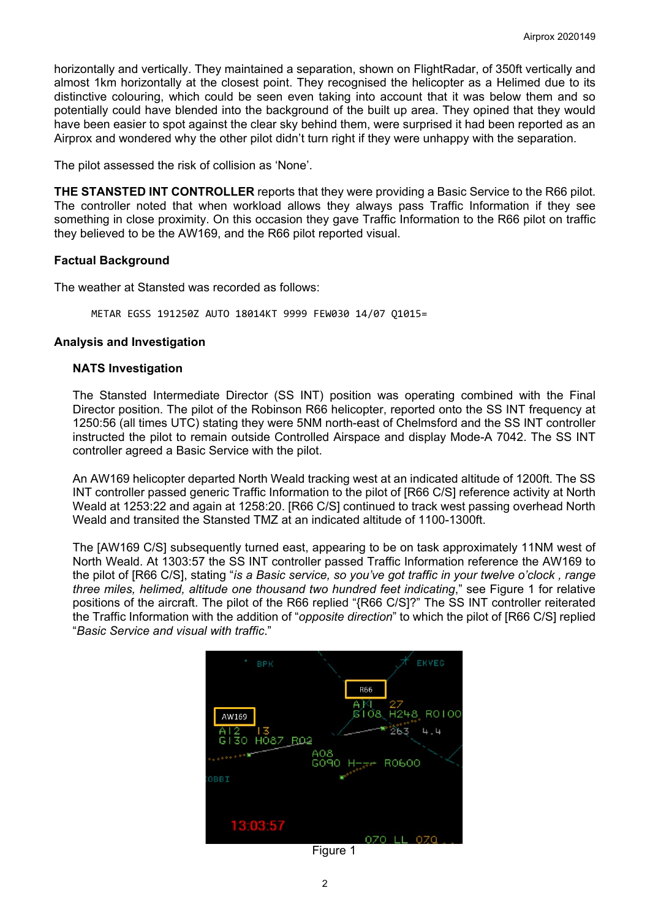horizontally and vertically. They maintained a separation, shown on FlightRadar, of 350ft vertically and almost 1km horizontally at the closest point. They recognised the helicopter as a Helimed due to its distinctive colouring, which could be seen even taking into account that it was below them and so potentially could have blended into the background of the built up area. They opined that they would have been easier to spot against the clear sky behind them, were surprised it had been reported as an Airprox and wondered why the other pilot didn't turn right if they were unhappy with the separation.

The pilot assessed the risk of collision as 'None'.

**THE STANSTED INT CONTROLLER** reports that they were providing a Basic Service to the R66 pilot. The controller noted that when workload allows they always pass Traffic Information if they see something in close proximity. On this occasion they gave Traffic Information to the R66 pilot on traffic they believed to be the AW169, and the R66 pilot reported visual.

#### **Factual Background**

The weather at Stansted was recorded as follows:

METAR EGSS 191250Z AUTO 18014KT 9999 FEW030 14/07 Q1015=

#### **Analysis and Investigation**

#### **NATS Investigation**

The Stansted Intermediate Director (SS INT) position was operating combined with the Final Director position. The pilot of the Robinson R66 helicopter, reported onto the SS INT frequency at 1250:56 (all times UTC) stating they were 5NM north-east of Chelmsford and the SS INT controller instructed the pilot to remain outside Controlled Airspace and display Mode-A 7042. The SS INT controller agreed a Basic Service with the pilot.

An AW169 helicopter departed North Weald tracking west at an indicated altitude of 1200ft. The SS INT controller passed generic Traffic Information to the pilot of [R66 C/S] reference activity at North Weald at 1253:22 and again at 1258:20. [R66 C/S] continued to track west passing overhead North Weald and transited the Stansted TMZ at an indicated altitude of 1100-1300ft.

The [AW169 C/S] subsequently turned east, appearing to be on task approximately 11NM west of North Weald. At 1303:57 the SS INT controller passed Traffic Information reference the AW169 to the pilot of [R66 C/S], stating "*is a Basic service, so you've got traffic in your twelve o'clock , range three miles, helimed, altitude one thousand two hundred feet indicating*," see Figure 1 for relative positions of the aircraft. The pilot of the R66 replied "{R66 C/S]?" The SS INT controller reiterated the Traffic Information with the addition of "*opposite direction*" to which the pilot of [R66 C/S] replied "*Basic Service and visual with traffic*."



Figure 1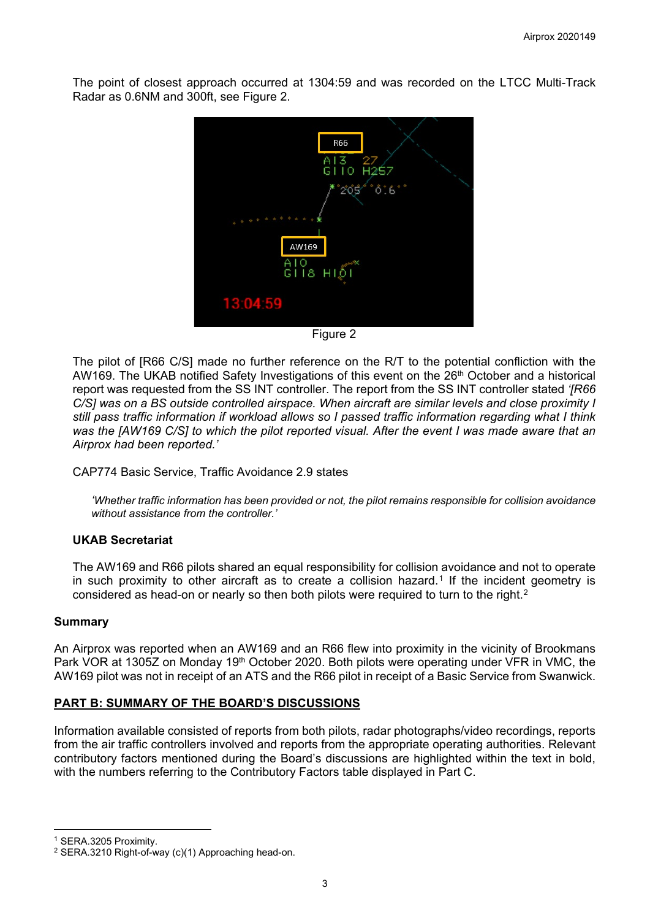The point of closest approach occurred at 1304:59 and was recorded on the LTCC Multi-Track Radar as 0.6NM and 300ft, see Figure 2.



Figure 2

The pilot of [R66 C/S] made no further reference on the R/T to the potential confliction with the AW169. The UKAB notified Safety Investigations of this event on the 26<sup>th</sup> October and a historical report was requested from the SS INT controller. The report from the SS INT controller stated *'[R66 C/S] was on a BS outside controlled airspace. When aircraft are similar levels and close proximity I still pass traffic information if workload allows so I passed traffic information regarding what I think was the [AW169 C/S] to which the pilot reported visual. After the event I was made aware that an Airprox had been reported.'* 

CAP774 Basic Service, Traffic Avoidance 2.9 states

*'Whether traffic information has been provided or not, the pilot remains responsible for collision avoidance without assistance from the controller.'*

### **UKAB Secretariat**

The AW169 and R66 pilots shared an equal responsibility for collision avoidance and not to operate in such proximity to other aircraft as to create a collision hazard.<sup>[1](#page-2-0)</sup> If the incident geometry is considered as head-on or nearly so then both pilots were required to turn to the right.<sup>[2](#page-2-1)</sup>

#### **Summary**

An Airprox was reported when an AW169 and an R66 flew into proximity in the vicinity of Brookmans Park VOR at 1305Z on Monday 19<sup>th</sup> October 2020. Both pilots were operating under VFR in VMC, the AW169 pilot was not in receipt of an ATS and the R66 pilot in receipt of a Basic Service from Swanwick.

### **PART B: SUMMARY OF THE BOARD'S DISCUSSIONS**

Information available consisted of reports from both pilots, radar photographs/video recordings, reports from the air traffic controllers involved and reports from the appropriate operating authorities. Relevant contributory factors mentioned during the Board's discussions are highlighted within the text in bold, with the numbers referring to the Contributory Factors table displayed in Part C.

<span id="page-2-0"></span><sup>1</sup> SERA.3205 Proximity.

<span id="page-2-1"></span><sup>2</sup> SERA.3210 Right-of-way (c)(1) Approaching head-on.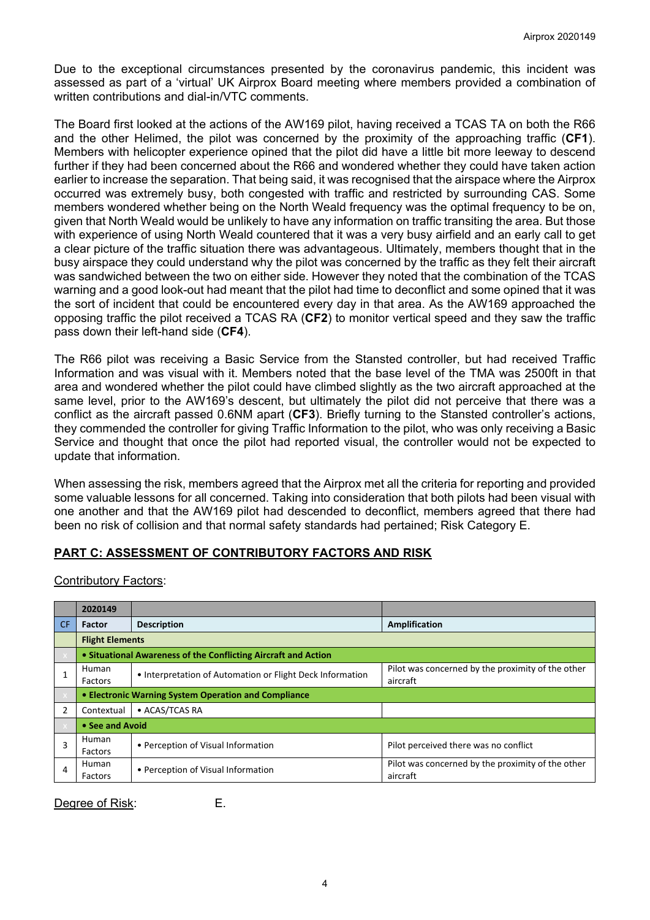Due to the exceptional circumstances presented by the coronavirus pandemic, this incident was assessed as part of a 'virtual' UK Airprox Board meeting where members provided a combination of written contributions and dial-in/VTC comments.

The Board first looked at the actions of the AW169 pilot, having received a TCAS TA on both the R66 and the other Helimed, the pilot was concerned by the proximity of the approaching traffic (**CF1**). Members with helicopter experience opined that the pilot did have a little bit more leeway to descend further if they had been concerned about the R66 and wondered whether they could have taken action earlier to increase the separation. That being said, it was recognised that the airspace where the Airprox occurred was extremely busy, both congested with traffic and restricted by surrounding CAS. Some members wondered whether being on the North Weald frequency was the optimal frequency to be on, given that North Weald would be unlikely to have any information on traffic transiting the area. But those with experience of using North Weald countered that it was a very busy airfield and an early call to get a clear picture of the traffic situation there was advantageous. Ultimately, members thought that in the busy airspace they could understand why the pilot was concerned by the traffic as they felt their aircraft was sandwiched between the two on either side. However they noted that the combination of the TCAS warning and a good look-out had meant that the pilot had time to deconflict and some opined that it was the sort of incident that could be encountered every day in that area. As the AW169 approached the opposing traffic the pilot received a TCAS RA (**CF2**) to monitor vertical speed and they saw the traffic pass down their left-hand side (**CF4**).

The R66 pilot was receiving a Basic Service from the Stansted controller, but had received Traffic Information and was visual with it. Members noted that the base level of the TMA was 2500ft in that area and wondered whether the pilot could have climbed slightly as the two aircraft approached at the same level, prior to the AW169's descent, but ultimately the pilot did not perceive that there was a conflict as the aircraft passed 0.6NM apart (**CF3**). Briefly turning to the Stansted controller's actions, they commended the controller for giving Traffic Information to the pilot, who was only receiving a Basic Service and thought that once the pilot had reported visual, the controller would not be expected to update that information.

When assessing the risk, members agreed that the Airprox met all the criteria for reporting and provided some valuable lessons for all concerned. Taking into consideration that both pilots had been visual with one another and that the AW169 pilot had descended to deconflict, members agreed that there had been no risk of collision and that normal safety standards had pertained; Risk Category E.

## **PART C: ASSESSMENT OF CONTRIBUTORY FACTORS AND RISK**

Contributory Factors:

|                | 2020149                |                                                                |                                                               |  |  |  |  |  |  |
|----------------|------------------------|----------------------------------------------------------------|---------------------------------------------------------------|--|--|--|--|--|--|
| <b>CF</b>      | <b>Factor</b>          | <b>Description</b>                                             | Amplification                                                 |  |  |  |  |  |  |
|                | <b>Flight Elements</b> |                                                                |                                                               |  |  |  |  |  |  |
|                |                        | • Situational Awareness of the Conflicting Aircraft and Action |                                                               |  |  |  |  |  |  |
|                | Human<br>Factors       | • Interpretation of Automation or Flight Deck Information      | Pilot was concerned by the proximity of the other<br>aircraft |  |  |  |  |  |  |
|                |                        | • Electronic Warning System Operation and Compliance           |                                                               |  |  |  |  |  |  |
| $\overline{2}$ | Contextual             | • ACAS/TCAS RA                                                 |                                                               |  |  |  |  |  |  |
|                | • See and Avoid        |                                                                |                                                               |  |  |  |  |  |  |
| 3              | Human<br>Factors       | • Perception of Visual Information                             | Pilot perceived there was no conflict                         |  |  |  |  |  |  |
| 4              | Human<br>Factors       | • Perception of Visual Information                             | Pilot was concerned by the proximity of the other<br>aircraft |  |  |  |  |  |  |

Degree of Risk: E.